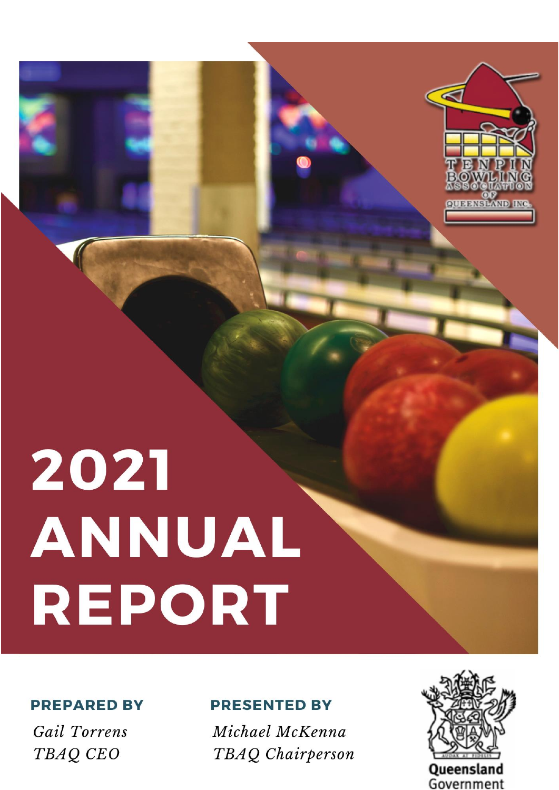



### **PREPARED BY**

Gail Torrens TBAQ CEO

## **PRESENTED BY**

Michael McKenna TBAQ Chairperson

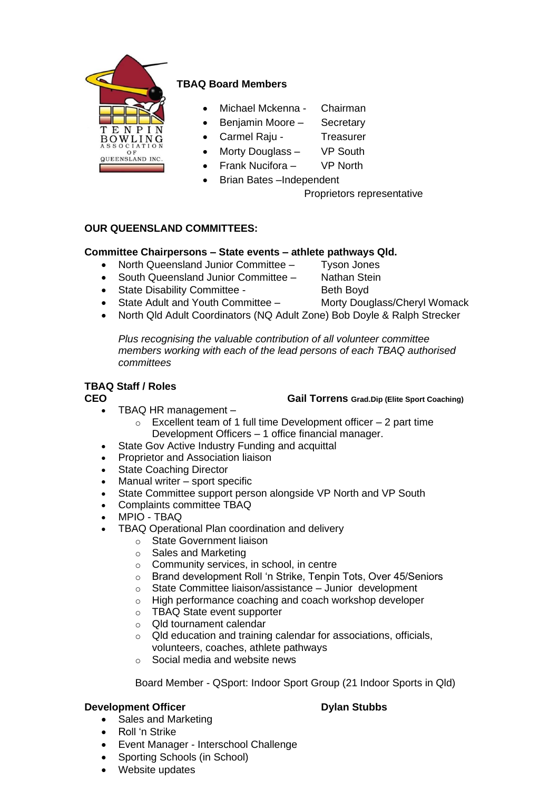

### **TBAQ Board Members**

- Michael Mckenna Chairman
- Benjamin Moore Secretary
- Carmel Raju Treasurer
- Morty Douglass VP South
- Frank Nucifora VP North
- Brian Bates –Independent

Proprietors representative

#### **OUR QUEENSLAND COMMITTEES:**

#### **Committee Chairpersons – State events – athlete pathways Qld.**

- North Queensland Junior Committee Tyson Jones
- South Queensland Junior Committee Nathan Stein
- State Disability Committee Beth Boyd
- State Adult and Youth Committee Morty Douglass/Cheryl Womack
- 
- North Qld Adult Coordinators (NQ Adult Zone) Bob Doyle & Ralph Strecker

*Plus recognising the valuable contribution of all volunteer committee members working with each of the lead persons of each TBAQ authorised committees*

### **TBAQ Staff / Roles**

- **CEO Gail Torrens Grad.Dip (Elite Sport Coaching)**
	- TBAQ HR management
		- $\circ$  Excellent team of 1 full time Development officer  $-2$  part time Development Officers – 1 office financial manager.
	- State Gov Active Industry Funding and acquittal
	- Proprietor and Association liaison
	- **State Coaching Director**
	- Manual writer sport specific
	- State Committee support person alongside VP North and VP South
	- Complaints committee TBAQ
	- MPIO TBAQ
	- TBAQ Operational Plan coordination and delivery
		- o State Government liaison
		- o Sales and Marketing
		- o Community services, in school, in centre
		- o Brand development Roll 'n Strike, Tenpin Tots, Over 45/Seniors
		- o State Committee liaison/assistance Junior development
		- o High performance coaching and coach workshop developer
		- o TBAQ State event supporter
		- o Qld tournament calendar
		- o Qld education and training calendar for associations, officials, volunteers, coaches, athlete pathways
		- o Social media and website news

Board Member - QSport: Indoor Sport Group (21 Indoor Sports in Qld)

#### **Development Officer Development Officer Dylan Stubbs**

- Sales and Marketing
- Roll 'n Strike
- Event Manager Interschool Challenge
- Sporting Schools (in School)
- Website updates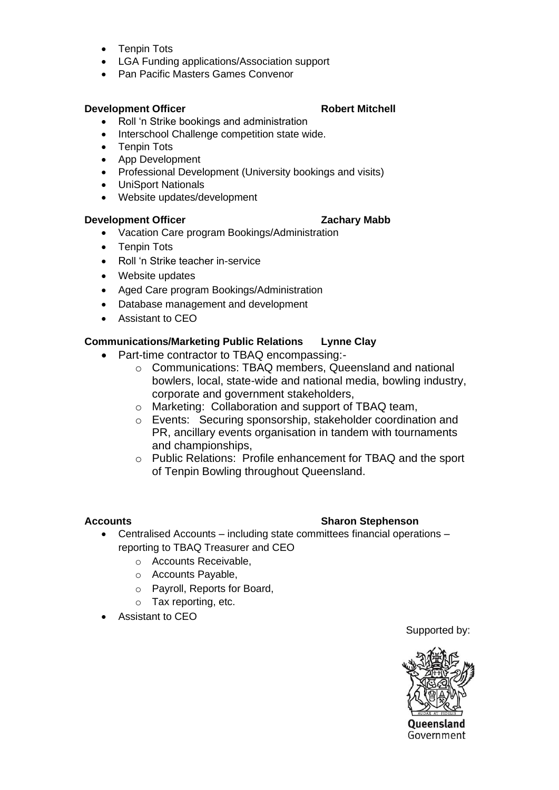- Tenpin Tots
- LGA Funding applications/Association support
- Pan Pacific Masters Games Convenor

### **Development Officer Robert Mitchell**

- Roll 'n Strike bookings and administration
- Interschool Challenge competition state wide.
- Tenpin Tots
- App Development
- Professional Development (University bookings and visits)
- UniSport Nationals
- Website updates/development

#### **Development Officer Cachary Mabb**

- Vacation Care program Bookings/Administration
- Tenpin Tots
- Roll 'n Strike teacher in-service
- Website updates
- Aged Care program Bookings/Administration
- Database management and development
- Assistant to CEO

### **Communications/Marketing Public Relations Lynne Clay**

- Part-time contractor to TBAQ encompassing:
	- o Communications: TBAQ members, Queensland and national bowlers, local, state-wide and national media, bowling industry, corporate and government stakeholders,
	- o Marketing: Collaboration and support of TBAQ team,
	- o Events: Securing sponsorship, stakeholder coordination and PR, ancillary events organisation in tandem with tournaments and championships,
	- o Public Relations: Profile enhancement for TBAQ and the sport of Tenpin Bowling throughout Queensland.

### **Accounts Sharon Stephenson**

- Centralised Accounts including state committees financial operations reporting to TBAQ Treasurer and CEO
	- o Accounts Receivable,
	- o Accounts Payable,
	- o Payroll, Reports for Board,
	- o Tax reporting, etc.
- Assistant to CEO

Supported by:



**Oueensland** Government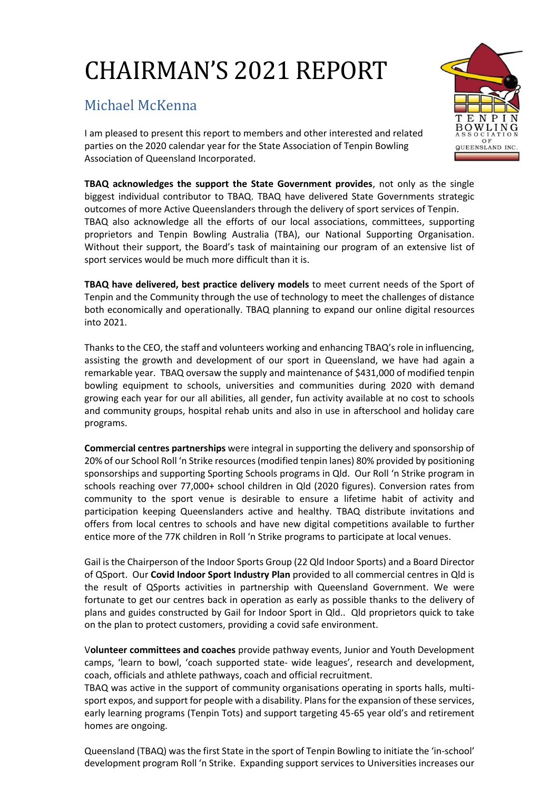# CHAIRMAN'S 2021 REPORT

# Michael McKenna

I am pleased to present this report to members and other interested and related parties on the 2020 calendar year for the State Association of Tenpin Bowling Association of Queensland Incorporated.

**TBAQ acknowledges the support the State Government provides**, not only as the single biggest individual contributor to TBAQ. TBAQ have delivered State Governments strategic outcomes of more Active Queenslanders through the delivery of sport services of Tenpin. TBAQ also acknowledge all the efforts of our local associations, committees, supporting proprietors and Tenpin Bowling Australia (TBA), our National Supporting Organisation. Without their support, the Board's task of maintaining our program of an extensive list of sport services would be much more difficult than it is.

**TBAQ have delivered, best practice delivery models** to meet current needs of the Sport of Tenpin and the Community through the use of technology to meet the challenges of distance both economically and operationally. TBAQ planning to expand our online digital resources into 2021.

Thanks to the CEO, the staff and volunteers working and enhancing TBAQ's role in influencing, assisting the growth and development of our sport in Queensland, we have had again a remarkable year. TBAQ oversaw the supply and maintenance of \$431,000 of modified tenpin bowling equipment to schools, universities and communities during 2020 with demand growing each year for our all abilities, all gender, fun activity available at no cost to schools and community groups, hospital rehab units and also in use in afterschool and holiday care programs.

**Commercial centres partnerships** were integral in supporting the delivery and sponsorship of 20% of our School Roll 'n Strike resources (modified tenpin lanes) 80% provided by positioning sponsorships and supporting Sporting Schools programs in Qld. Our Roll 'n Strike program in schools reaching over 77,000+ school children in Qld (2020 figures). Conversion rates from community to the sport venue is desirable to ensure a lifetime habit of activity and participation keeping Queenslanders active and healthy. TBAQ distribute invitations and offers from local centres to schools and have new digital competitions available to further entice more of the 77K children in Roll 'n Strike programs to participate at local venues.

Gail is the Chairperson of the Indoor Sports Group (22 Qld Indoor Sports) and a Board Director of QSport. Our **Covid Indoor Sport Industry Plan** provided to all commercial centres in Qld is the result of QSports activities in partnership with Queensland Government. We were fortunate to get our centres back in operation as early as possible thanks to the delivery of plans and guides constructed by Gail for Indoor Sport in Qld.. Qld proprietors quick to take on the plan to protect customers, providing a covid safe environment.

V**olunteer committees and coaches** provide pathway events, Junior and Youth Development camps, 'learn to bowl, 'coach supported state- wide leagues', research and development, coach, officials and athlete pathways, coach and official recruitment.

TBAQ was active in the support of community organisations operating in sports halls, multisport expos, and support for people with a disability. Plans for the expansion of these services, early learning programs (Tenpin Tots) and support targeting 45-65 year old's and retirement homes are ongoing.

Queensland (TBAQ) was the first State in the sport of Tenpin Bowling to initiate the 'in-school' development program Roll 'n Strike. Expanding support services to Universities increases our

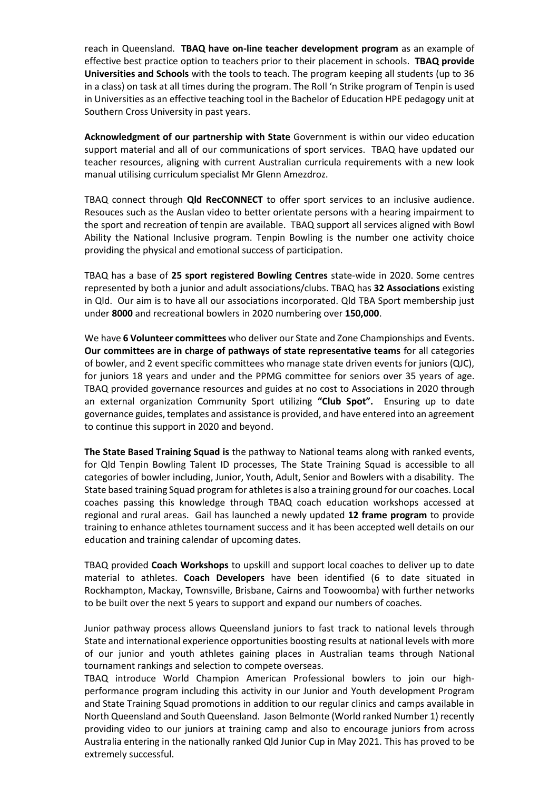reach in Queensland. **TBAQ have on-line teacher development program** as an example of effective best practice option to teachers prior to their placement in schools. **TBAQ provide Universities and Schools** with the tools to teach. The program keeping all students (up to 36 in a class) on task at all times during the program. The Roll 'n Strike program of Tenpin is used in Universities as an effective teaching tool in the Bachelor of Education HPE pedagogy unit at Southern Cross University in past years.

**Acknowledgment of our partnership with State** Government is within our video education support material and all of our communications of sport services. TBAQ have updated our teacher resources, aligning with current Australian curricula requirements with a new look manual utilising curriculum specialist Mr Glenn Amezdroz.

TBAQ connect through **Qld RecCONNECT** to offer sport services to an inclusive audience. Resouces such as the Auslan video to better orientate persons with a hearing impairment to the sport and recreation of tenpin are available. TBAQ support all services aligned with Bowl Ability the National Inclusive program. Tenpin Bowling is the number one activity choice providing the physical and emotional success of participation.

TBAQ has a base of **25 sport registered Bowling Centres** state-wide in 2020. Some centres represented by both a junior and adult associations/clubs. TBAQ has **32 Associations** existing in Qld. Our aim is to have all our associations incorporated. Qld TBA Sport membership just under **8000** and recreational bowlers in 2020 numbering over **150,000**.

We have **6 Volunteer committees** who deliver our State and Zone Championships and Events. **Our committees are in charge of pathways of state representative teams** for all categories of bowler, and 2 event specific committees who manage state driven events for juniors (QJC), for juniors 18 years and under and the PPMG committee for seniors over 35 years of age. TBAQ provided governance resources and guides at no cost to Associations in 2020 through an external organization Community Sport utilizing **"Club Spot".** Ensuring up to date governance guides, templates and assistance is provided, and have entered into an agreement to continue this support in 2020 and beyond.

**The State Based Training Squad is** the pathway to National teams along with ranked events, for Qld Tenpin Bowling Talent ID processes, The State Training Squad is accessible to all categories of bowler including, Junior, Youth, Adult, Senior and Bowlers with a disability. The State based training Squad program for athletes is also a training ground for our coaches. Local coaches passing this knowledge through TBAQ coach education workshops accessed at regional and rural areas. Gail has launched a newly updated **12 frame program** to provide training to enhance athletes tournament success and it has been accepted well details on our education and training calendar of upcoming dates.

TBAQ provided **Coach Workshops** to upskill and support local coaches to deliver up to date material to athletes. **Coach Developers** have been identified (6 to date situated in Rockhampton, Mackay, Townsville, Brisbane, Cairns and Toowoomba) with further networks to be built over the next 5 years to support and expand our numbers of coaches.

Junior pathway process allows Queensland juniors to fast track to national levels through State and international experience opportunities boosting results at national levels with more of our junior and youth athletes gaining places in Australian teams through National tournament rankings and selection to compete overseas.

TBAQ introduce World Champion American Professional bowlers to join our highperformance program including this activity in our Junior and Youth development Program and State Training Squad promotions in addition to our regular clinics and camps available in North Queensland and South Queensland. Jason Belmonte (World ranked Number 1) recently providing video to our juniors at training camp and also to encourage juniors from across Australia entering in the nationally ranked Qld Junior Cup in May 2021. This has proved to be extremely successful.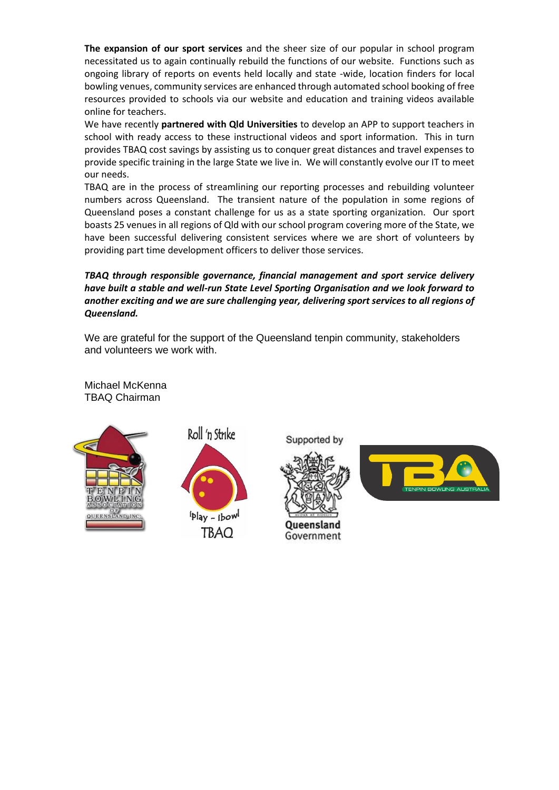**The expansion of our sport services** and the sheer size of our popular in school program necessitated us to again continually rebuild the functions of our website. Functions such as ongoing library of reports on events held locally and state -wide, location finders for local bowling venues, community services are enhanced through automated school booking of free resources provided to schools via our website and education and training videos available online for teachers.

We have recently **partnered with Qld Universities** to develop an APP to support teachers in school with ready access to these instructional videos and sport information. This in turn provides TBAQ cost savings by assisting us to conquer great distances and travel expenses to provide specific training in the large State we live in. We will constantly evolve our IT to meet our needs.

TBAQ are in the process of streamlining our reporting processes and rebuilding volunteer numbers across Queensland. The transient nature of the population in some regions of Queensland poses a constant challenge for us as a state sporting organization. Our sport boasts 25 venues in all regions of Qld with our school program covering more of the State, we have been successful delivering consistent services where we are short of volunteers by providing part time development officers to deliver those services.

*TBAQ through responsible governance, financial management and sport service delivery have built a stable and well-run State Level Sporting Organisation and we look forward to another exciting and we are sure challenging year, delivering sport services to all regions of Queensland.*

We are grateful for the support of the Queensland tenpin community, stakeholders and volunteers we work with.

Michael McKenna TBAQ Chairman





**TBAQ** 

Supported by

**Queensland** Government

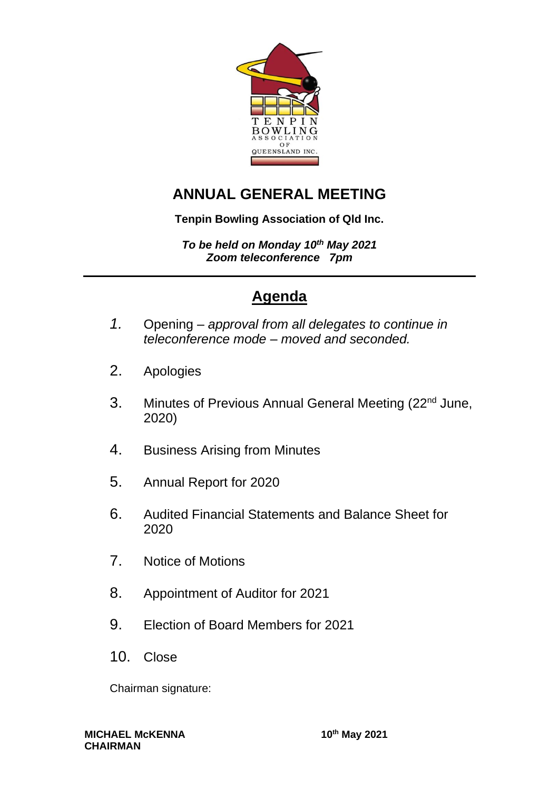

# **ANNUAL GENERAL MEETING**

### **Tenpin Bowling Association of Qld Inc.**

*To be held on Monday 10th May 2021 Zoom teleconference 7pm*

# **Agenda**

- *1.* Opening *approval from all delegates to continue in teleconference mode – moved and seconded.*
- 2. Apologies
- 3. Minutes of Previous Annual General Meeting (22<sup>nd</sup> June, 2020)
- 4. Business Arising from Minutes
- 5. Annual Report for 2020
- 6. Audited Financial Statements and Balance Sheet for 2020
- 7. Notice of Motions
- 8. Appointment of Auditor for 2021
- 9. Election of Board Members for 2021
- 10. Close

Chairman signature: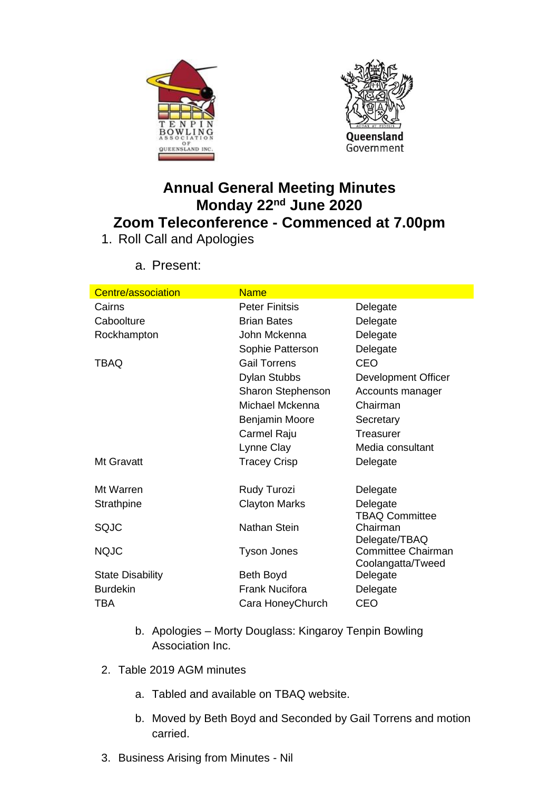



# **Annual General Meeting Minutes Monday 22nd June 2020 Zoom Teleconference - Commenced at 7.00pm**

1. Roll Call and Apologies

| Centre/association      | <b>Name</b>           |                                                |
|-------------------------|-----------------------|------------------------------------------------|
| Cairns                  | <b>Peter Finitsis</b> | Delegate                                       |
| Caboolture              | <b>Brian Bates</b>    | Delegate                                       |
| Rockhampton             | John Mckenna          | Delegate                                       |
|                         | Sophie Patterson      | Delegate                                       |
| TBAQ                    | <b>Gail Torrens</b>   | <b>CEO</b>                                     |
|                         | <b>Dylan Stubbs</b>   | Development Officer                            |
|                         | Sharon Stephenson     | Accounts manager                               |
|                         | Michael Mckenna       | Chairman                                       |
|                         | <b>Benjamin Moore</b> | Secretary                                      |
|                         | Carmel Raju           | Treasurer                                      |
|                         | Lynne Clay            | Media consultant                               |
| Mt Gravatt              | <b>Tracey Crisp</b>   | Delegate                                       |
|                         |                       |                                                |
| Mt Warren               | Rudy Turozi           | Delegate                                       |
| Strathpine              | <b>Clayton Marks</b>  | Delegate<br><b>TBAQ Committee</b>              |
| SQJC                    | Nathan Stein          | Chairman<br>Delegate/TBAQ                      |
| <b>NQJC</b>             | <b>Tyson Jones</b>    | <b>Committee Chairman</b><br>Coolangatta/Tweed |
| <b>State Disability</b> | Beth Boyd             | Delegate                                       |
| <b>Burdekin</b>         | <b>Frank Nucifora</b> | Delegate                                       |
| TBA                     | Cara HoneyChurch      | <b>CEO</b>                                     |
|                         |                       |                                                |

a. Present:

- b. Apologies Morty Douglass: Kingaroy Tenpin Bowling Association Inc.
- 2. Table 2019 AGM minutes
	- a. Tabled and available on TBAQ website.
	- b. Moved by Beth Boyd and Seconded by Gail Torrens and motion carried.
- 3. Business Arising from Minutes Nil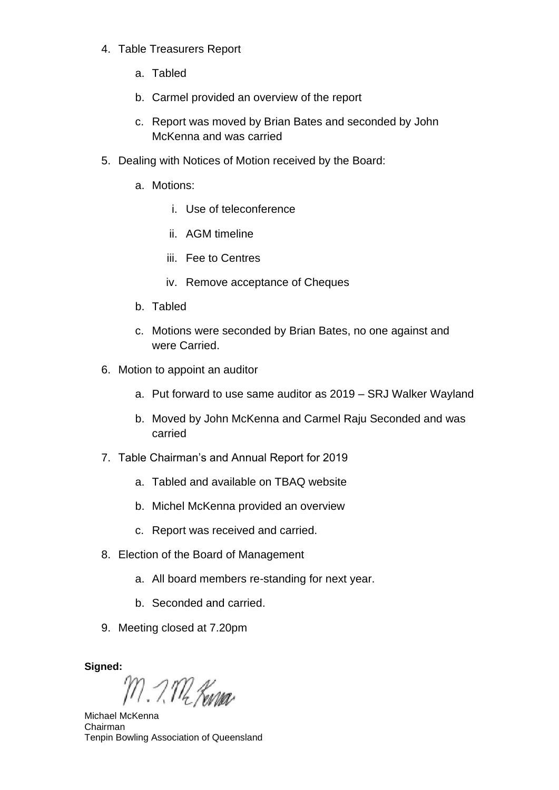- 4. Table Treasurers Report
	- a. Tabled
	- b. Carmel provided an overview of the report
	- c. Report was moved by Brian Bates and seconded by John McKenna and was carried
- 5. Dealing with Notices of Motion received by the Board:
	- a. Motions:
		- i. Use of teleconference
		- ii. AGM timeline
		- iii. Fee to Centres
		- iv. Remove acceptance of Cheques
	- b. Tabled
	- c. Motions were seconded by Brian Bates, no one against and were Carried.
- 6. Motion to appoint an auditor
	- a. Put forward to use same auditor as 2019 SRJ Walker Wayland
	- b. Moved by John McKenna and Carmel Raju Seconded and was carried
- 7. Table Chairman's and Annual Report for 2019
	- a. Tabled and available on TBAQ website
	- b. Michel McKenna provided an overview
	- c. Report was received and carried.
- 8. Election of the Board of Management
	- a. All board members re-standing for next year.
	- b. Seconded and carried.
- 9. Meeting closed at 7.20pm

**Signed:**

M. I. M. *Kura*r

Michael McKenna Chairman Tenpin Bowling Association of Queensland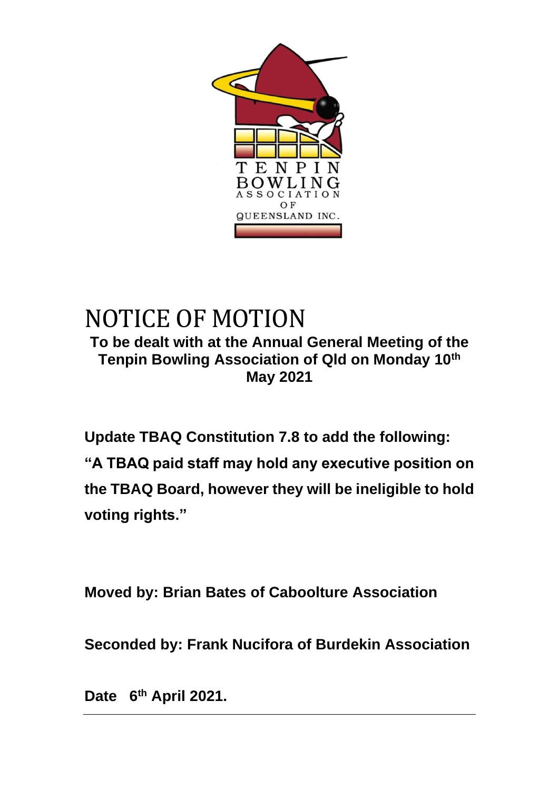

# NOTICE OF MOTION **To be dealt with at the Annual General Meeting of the Tenpin Bowling Association of Qld on Monday 10th May 2021**

**Update TBAQ Constitution 7.8 to add the following: "A TBAQ paid staff may hold any executive position on the TBAQ Board, however they will be ineligible to hold voting rights."**

**Moved by: Brian Bates of Caboolture Association**

**Seconded by: Frank Nucifora of Burdekin Association**

**Date 6th April 2021.**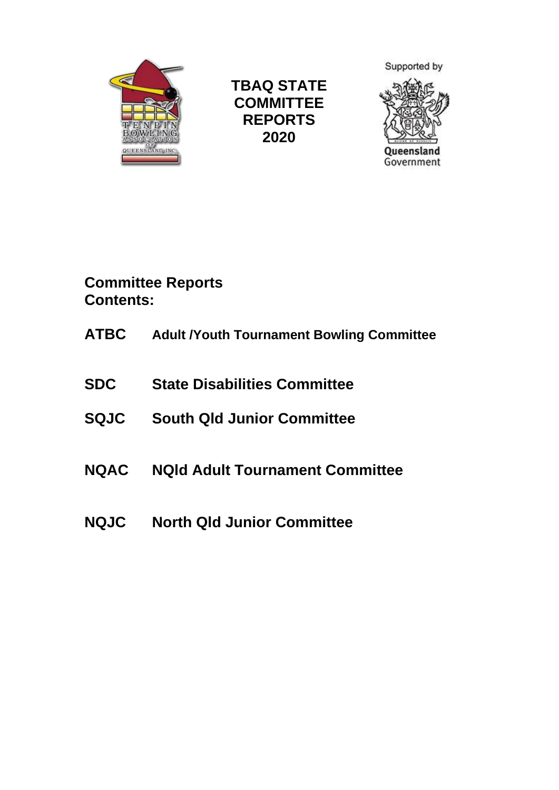

**TBAQ STATE COMMITTEE REPORTS 2020**



**Committee Reports Contents:**

- **ATBC Adult /Youth Tournament Bowling Committee**
- **SDC State Disabilities Committee**
- **SQJC South Qld Junior Committee**
- **NQAC NQld Adult Tournament Committee**
- **NQJC North Qld Junior Committee**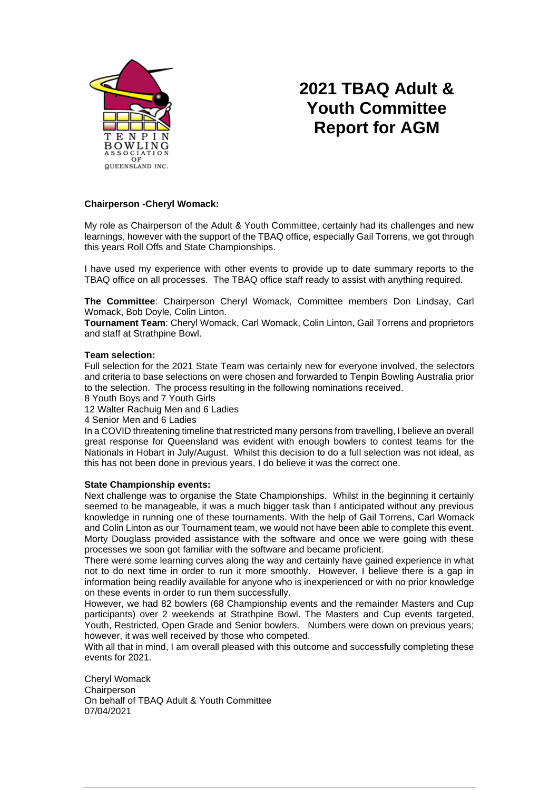

# **2021 TBAQ Adult & Youth Committee Report for AGM**

#### **Chairperson -Cheryl Womack:**

My role as Chairperson of the Adult & Youth Committee, certainly had its challenges and new learnings, however with the support of the TBAQ office, especially Gail Torrens, we got through this years Roll Offs and State Championships.

I have used my experience with other events to provide up to date summary reports to the TBAQ office on all processes. The TBAQ office staff ready to assist with anything required.

**The Committee**: Chairperson Cheryl Womack, Committee members Don Lindsay, Carl Womack, Bob Doyle, Colin Linton.

**Tournament Team**: Cheryl Womack, Carl Womack, Colin Linton, Gail Torrens and proprietors and staff at Strathpine Bowl.

#### **Team selection:**

Full selection for the 2021 State Team was certainly new for everyone involved, the selectors and criteria to base selections on were chosen and forwarded to Tenpin Bowling Australia prior to the selection. The process resulting in the following nominations received.

8 Youth Boys and 7 Youth Girls

12 Walter Rachuig Men and 6 Ladies

4 Senior Men and 6 Ladies

In a COVID threatening timeline that restricted many persons from travelling, I believe an overall great response for Queensland was evident with enough bowlers to contest teams for the Nationals in Hobart in July/August. Whilst this decision to do a full selection was not ideal, as this has not been done in previous years, I do believe it was the correct one.

#### **State Championship events:**

Next challenge was to organise the State Championships. Whilst in the beginning it certainly seemed to be manageable, it was a much bigger task than I anticipated without any previous knowledge in running one of these tournaments. With the help of Gail Torrens, Carl Womack and Colin Linton as our Tournament team, we would not have been able to complete this event. Morty Douglass provided assistance with the software and once we were going with these processes we soon got familiar with the software and became proficient.

There were some learning curves along the way and certainly have gained experience in what not to do next time in order to run it more smoothly. However, I believe there is a gap in information being readily available for anyone who is inexperienced or with no prior knowledge on these events in order to run them successfully.

However, we had 82 bowlers (68 Championship events and the remainder Masters and Cup participants) over 2 weekends at Strathpine Bowl. The Masters and Cup events targeted, Youth, Restricted, Open Grade and Senior bowlers. Numbers were down on previous years; however, it was well received by those who competed.

With all that in mind, I am overall pleased with this outcome and successfully completing these events for 2021.

Cheryl Womack **Chairperson** On behalf of TBAQ Adult & Youth Committee 07/04/2021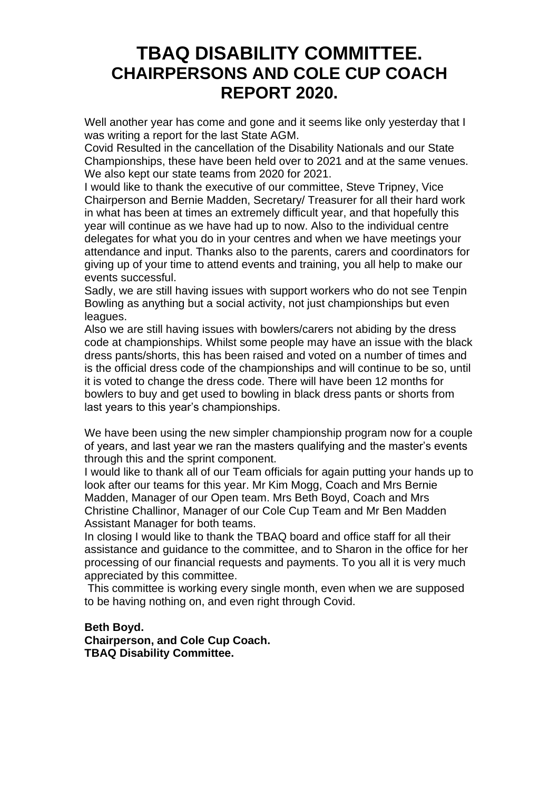# **TBAQ DISABILITY COMMITTEE. CHAIRPERSONS AND COLE CUP COACH REPORT 2020.**

Well another year has come and gone and it seems like only yesterday that I was writing a report for the last State AGM.

Covid Resulted in the cancellation of the Disability Nationals and our State Championships, these have been held over to 2021 and at the same venues. We also kept our state teams from 2020 for 2021.

I would like to thank the executive of our committee, Steve Tripney, Vice Chairperson and Bernie Madden, Secretary/ Treasurer for all their hard work in what has been at times an extremely difficult year, and that hopefully this year will continue as we have had up to now. Also to the individual centre delegates for what you do in your centres and when we have meetings your attendance and input. Thanks also to the parents, carers and coordinators for giving up of your time to attend events and training, you all help to make our events successful.

Sadly, we are still having issues with support workers who do not see Tenpin Bowling as anything but a social activity, not just championships but even leagues.

Also we are still having issues with bowlers/carers not abiding by the dress code at championships. Whilst some people may have an issue with the black dress pants/shorts, this has been raised and voted on a number of times and is the official dress code of the championships and will continue to be so, until it is voted to change the dress code. There will have been 12 months for bowlers to buy and get used to bowling in black dress pants or shorts from last years to this year's championships.

We have been using the new simpler championship program now for a couple of years, and last year we ran the masters qualifying and the master's events through this and the sprint component.

I would like to thank all of our Team officials for again putting your hands up to look after our teams for this year. Mr Kim Mogg, Coach and Mrs Bernie Madden, Manager of our Open team. Mrs Beth Boyd, Coach and Mrs Christine Challinor, Manager of our Cole Cup Team and Mr Ben Madden Assistant Manager for both teams.

In closing I would like to thank the TBAQ board and office staff for all their assistance and guidance to the committee, and to Sharon in the office for her processing of our financial requests and payments. To you all it is very much appreciated by this committee.

This committee is working every single month, even when we are supposed to be having nothing on, and even right through Covid.

#### **Beth Boyd. Chairperson, and Cole Cup Coach. TBAQ Disability Committee.**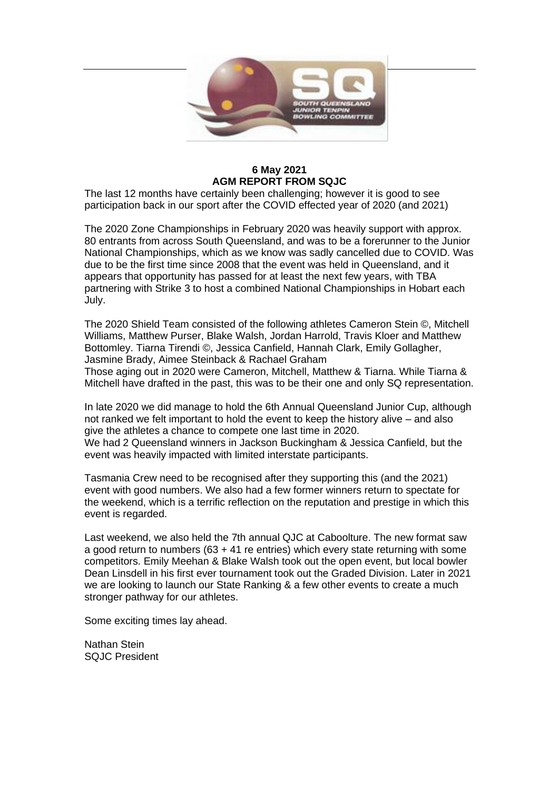

#### **6 May 2021 AGM REPORT FROM SQJC**

The last 12 months have certainly been challenging; however it is good to see participation back in our sport after the COVID effected year of 2020 (and 2021)

The 2020 Zone Championships in February 2020 was heavily support with approx. 80 entrants from across South Queensland, and was to be a forerunner to the Junior National Championships, which as we know was sadly cancelled due to COVID. Was due to be the first time since 2008 that the event was held in Queensland, and it appears that opportunity has passed for at least the next few years, with TBA partnering with Strike 3 to host a combined National Championships in Hobart each July.

The 2020 Shield Team consisted of the following athletes Cameron Stein ©, Mitchell Williams, Matthew Purser, Blake Walsh, Jordan Harrold, Travis Kloer and Matthew Bottomley. Tiarna Tirendi ©, Jessica Canfield, Hannah Clark, Emily Gollagher, Jasmine Brady, Aimee Steinback & Rachael Graham

Those aging out in 2020 were Cameron, Mitchell, Matthew & Tiarna. While Tiarna & Mitchell have drafted in the past, this was to be their one and only SQ representation.

In late 2020 we did manage to hold the 6th Annual Queensland Junior Cup, although not ranked we felt important to hold the event to keep the history alive – and also give the athletes a chance to compete one last time in 2020. We had 2 Queensland winners in Jackson Buckingham & Jessica Canfield, but the event was heavily impacted with limited interstate participants.

Tasmania Crew need to be recognised after they supporting this (and the 2021) event with good numbers. We also had a few former winners return to spectate for the weekend, which is a terrific reflection on the reputation and prestige in which this event is regarded.

Last weekend, we also held the 7th annual QJC at Caboolture. The new format saw a good return to numbers (63 + 41 re entries) which every state returning with some competitors. Emily Meehan & Blake Walsh took out the open event, but local bowler Dean Linsdell in his first ever tournament took out the Graded Division. Later in 2021 we are looking to launch our State Ranking & a few other events to create a much stronger pathway for our athletes.

Some exciting times lay ahead.

Nathan Stein SQJC President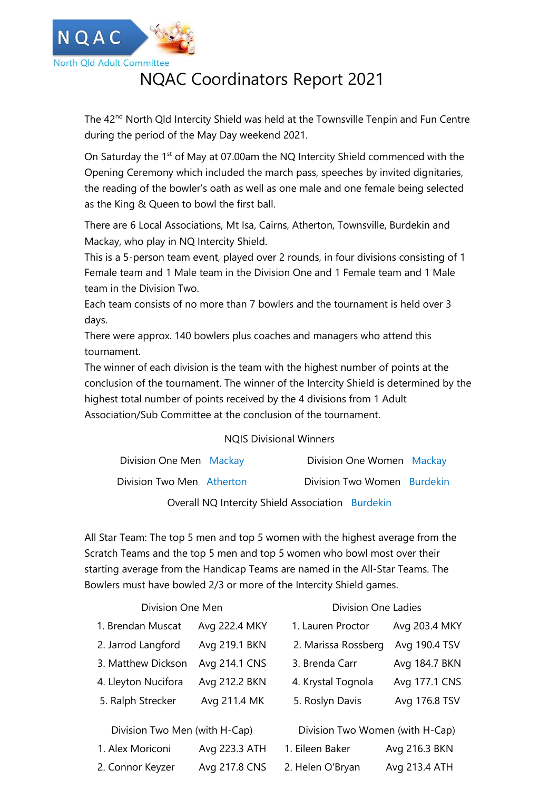

# NQAC Coordinators Report 2021

The 42<sup>nd</sup> North Qld Intercity Shield was held at the Townsville Tenpin and Fun Centre during the period of the May Day weekend 2021.

On Saturday the 1<sup>st</sup> of May at 07.00am the NQ Intercity Shield commenced with the Opening Ceremony which included the march pass, speeches by invited dignitaries, the reading of the bowler's oath as well as one male and one female being selected as the King & Queen to bowl the first ball.

There are 6 Local Associations, Mt Isa, Cairns, Atherton, Townsville, Burdekin and Mackay, who play in NQ Intercity Shield.

This is a 5-person team event, played over 2 rounds, in four divisions consisting of 1 Female team and 1 Male team in the Division One and 1 Female team and 1 Male team in the Division Two.

Each team consists of no more than 7 bowlers and the tournament is held over 3 days.

There were approx. 140 bowlers plus coaches and managers who attend this tournament.

The winner of each division is the team with the highest number of points at the conclusion of the tournament. The winner of the Intercity Shield is determined by the highest total number of points received by the 4 divisions from 1 Adult Association/Sub Committee at the conclusion of the tournament.

### NQIS Divisional Winners

| Division One Men Mackay   |  | Division One Women Mackay   |  |
|---------------------------|--|-----------------------------|--|
| Division Two Men Atherton |  | Division Two Women Burdekin |  |
|                           |  |                             |  |

Overall NQ Intercity Shield Association Burdekin

All Star Team: The top 5 men and top 5 women with the highest average from the Scratch Teams and the top 5 men and top 5 women who bowl most over their starting average from the Handicap Teams are named in the All-Star Teams. The Bowlers must have bowled 2/3 or more of the Intercity Shield games.

#### Division One Men **Division** Division One Ladies

| 1. Brendan Muscat                                                                                                                                                                                                                                                                                                                                                                                                                                                                          | Avg 222.4 MKY | 1. Lauren Proctor                                                                                                                                                                                                                                                                                                                                          | Avg 203.4 MKY |
|--------------------------------------------------------------------------------------------------------------------------------------------------------------------------------------------------------------------------------------------------------------------------------------------------------------------------------------------------------------------------------------------------------------------------------------------------------------------------------------------|---------------|------------------------------------------------------------------------------------------------------------------------------------------------------------------------------------------------------------------------------------------------------------------------------------------------------------------------------------------------------------|---------------|
| 2. Jarrod Langford                                                                                                                                                                                                                                                                                                                                                                                                                                                                         | Avg 219.1 BKN | 2. Marissa Rossberg                                                                                                                                                                                                                                                                                                                                        | Avg 190.4 TSV |
| 3. Matthew Dickson                                                                                                                                                                                                                                                                                                                                                                                                                                                                         | Avg 214.1 CNS | 3. Brenda Carr                                                                                                                                                                                                                                                                                                                                             | Avg 184.7 BKN |
| 4. Lleyton Nucifora                                                                                                                                                                                                                                                                                                                                                                                                                                                                        | Avg 212.2 BKN | 4. Krystal Tognola                                                                                                                                                                                                                                                                                                                                         | Avg 177.1 CNS |
| 5. Ralph Strecker                                                                                                                                                                                                                                                                                                                                                                                                                                                                          | Avg 211.4 MK  | 5. Roslyn Davis                                                                                                                                                                                                                                                                                                                                            | Avg 176.8 TSV |
| Division Two Men (with H-Cap)                                                                                                                                                                                                                                                                                                                                                                                                                                                              |               | Division Two Women (with H-Cap)                                                                                                                                                                                                                                                                                                                            |               |
| $\blacksquare$ $\blacksquare$ $\blacksquare$ $\blacksquare$ $\blacksquare$ $\blacksquare$ $\blacksquare$ $\blacksquare$ $\blacksquare$ $\blacksquare$ $\blacksquare$ $\blacksquare$ $\blacksquare$ $\blacksquare$ $\blacksquare$ $\blacksquare$ $\blacksquare$ $\blacksquare$ $\blacksquare$ $\blacksquare$ $\blacksquare$ $\blacksquare$ $\blacksquare$ $\blacksquare$ $\blacksquare$ $\blacksquare$ $\blacksquare$ $\blacksquare$ $\blacksquare$ $\blacksquare$ $\blacksquare$ $\blacks$ |               | 1 $\Gamma$ : $\Gamma$ . $\Gamma$ . $\Gamma$ . $\Gamma$ . $\Gamma$ . $\Gamma$ . $\Gamma$ . $\Gamma$ . $\Gamma$ . $\Gamma$ . $\Gamma$ . $\Gamma$ . $\Gamma$ . $\Gamma$ . $\Gamma$ . $\Gamma$ . $\Gamma$ . $\Gamma$ . $\Gamma$ . $\Gamma$ . $\Gamma$ . $\Gamma$ . $\Gamma$ . $\Gamma$ . $\Gamma$ . $\Gamma$ . $\Gamma$ . $\Gamma$ . $\Gamma$ . $\Gamma$ . $\$ |               |

| 1. Lauren Proctor   | Avg 203.4 MKY |
|---------------------|---------------|
| 2. Marissa Rossberg | Avg 190.4 TSV |
| 3. Brenda Carr      | Avg 184.7 BKN |
| 4. Krystal Tognola  | Avg 177.1 CNS |
| 5. Roslyn Davis     | Avg 176.8 TSV |
|                     |               |

| 1. Alex Moriconi | Avg 223.3 ATH | 1. Eileen Baker  | Avg 216.3 BKN |
|------------------|---------------|------------------|---------------|
| 2. Connor Keyzer | Avg 217.8 CNS | 2. Helen O'Bryan | Avg 213.4 ATH |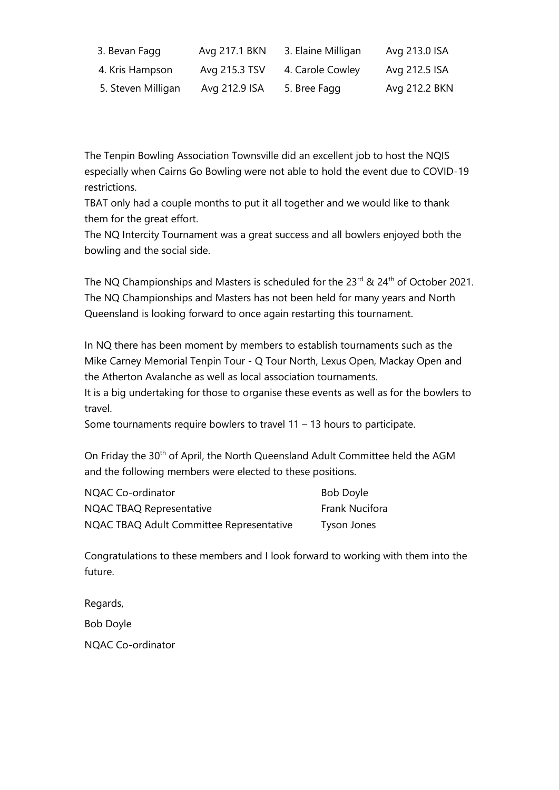| 3. Bevan Fagg      | Avg 217.1 BKN | 3. Elaine Milligan | Avg 213.0 ISA |
|--------------------|---------------|--------------------|---------------|
| 4. Kris Hampson    | Avg 215.3 TSV | 4. Carole Cowley   | Avg 212.5 ISA |
| 5. Steven Milligan | Avg 212.9 ISA | 5. Bree Fagg       | Avg 212.2 BKN |

The Tenpin Bowling Association Townsville did an excellent job to host the NQIS especially when Cairns Go Bowling were not able to hold the event due to COVID-19 restrictions.

TBAT only had a couple months to put it all together and we would like to thank them for the great effort.

The NQ Intercity Tournament was a great success and all bowlers enjoyed both the bowling and the social side.

The NQ Championships and Masters is scheduled for the 23<sup>rd</sup> & 24<sup>th</sup> of October 2021. The NQ Championships and Masters has not been held for many years and North Queensland is looking forward to once again restarting this tournament.

In NQ there has been moment by members to establish tournaments such as the Mike Carney Memorial Tenpin Tour - Q Tour North, Lexus Open, Mackay Open and the Atherton Avalanche as well as local association tournaments.

It is a big undertaking for those to organise these events as well as for the bowlers to travel.

Some tournaments require bowlers to travel 11 – 13 hours to participate.

On Friday the 30<sup>th</sup> of April, the North Queensland Adult Committee held the AGM and the following members were elected to these positions.

| NQAC Co-ordinator                        | Bob Doyle      |
|------------------------------------------|----------------|
| NQAC TBAQ Representative                 | Frank Nucifora |
| NQAC TBAQ Adult Committee Representative | Tyson Jones    |

Congratulations to these members and I look forward to working with them into the future.

Regards,

Bob Doyle

NQAC Co-ordinator